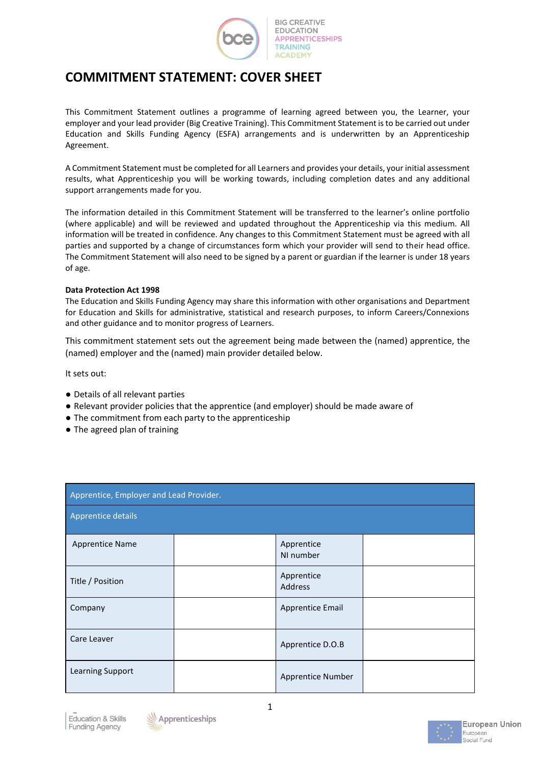

# **COMMITMENT STATEMENT: COVER SHEET**

This Commitment Statement outlines a programme of learning agreed between you, the Learner, your employer and your lead provider (Big Creative Training). This Commitment Statement is to be carried out under Education and Skills Funding Agency (ESFA) arrangements and is underwritten by an Apprenticeship Agreement.

A Commitment Statement must be completed for all Learners and provides your details, your initial assessment results, what Apprenticeship you will be working towards, including completion dates and any additional support arrangements made for you.

The information detailed in this Commitment Statement will be transferred to the learner's online portfolio (where applicable) and will be reviewed and updated throughout the Apprenticeship via this medium. All information will be treated in confidence. Any changes to this Commitment Statement must be agreed with all parties and supported by a change of circumstances form which your provider will send to their head office. The Commitment Statement will also need to be signed by a parent or guardian if the learner is under 18 years of age.

#### **Data Protection Act 1998**

The Education and Skills Funding Agency may share this information with other organisations and Department for Education and Skills for administrative, statistical and research purposes, to inform Careers/Connexions and other guidance and to monitor progress of Learners.

This commitment statement sets out the agreement being made between the (named) apprentice, the (named) employer and the (named) main provider detailed below.

It sets out:

- Details of all relevant parties
- Relevant provider policies that the apprentice (and employer) should be made aware of
- The commitment from each party to the apprenticeship
- The agreed plan of training

| Apprentice, Employer and Lead Provider. |  |                         |  |  |
|-----------------------------------------|--|-------------------------|--|--|
| <b>Apprentice details</b>               |  |                         |  |  |
| <b>Apprentice Name</b>                  |  | Apprentice<br>NI number |  |  |
| Title / Position                        |  | Apprentice<br>Address   |  |  |
| Company                                 |  | Apprentice Email        |  |  |
| Care Leaver                             |  | Apprentice D.O.B        |  |  |
| Learning Support                        |  | Apprentice Number       |  |  |





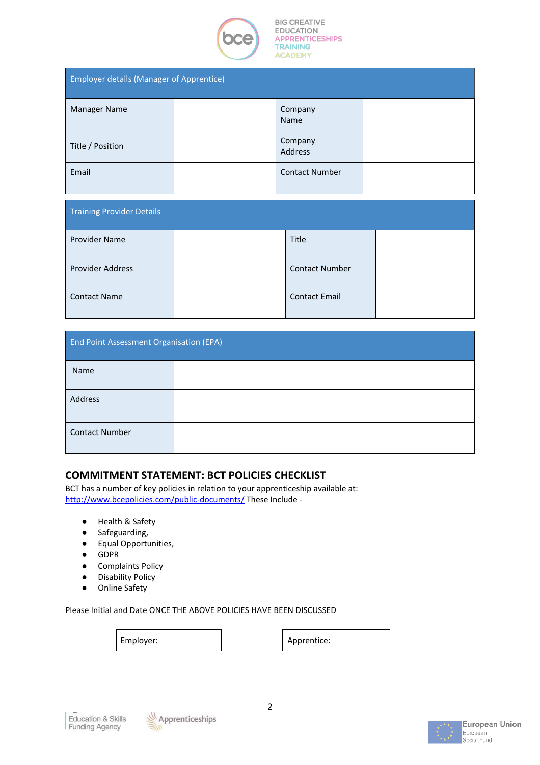

| <b>Employer details (Manager of Apprentice)</b> |  |                       |  |  |
|-------------------------------------------------|--|-----------------------|--|--|
| <b>Manager Name</b>                             |  | Company<br>Name       |  |  |
| Title / Position                                |  | Company<br>Address    |  |  |
| Email                                           |  | <b>Contact Number</b> |  |  |

| <b>Training Provider Details</b> |  |                       |  |  |
|----------------------------------|--|-----------------------|--|--|
| <b>Provider Name</b>             |  | Title                 |  |  |
| <b>Provider Address</b>          |  | <b>Contact Number</b> |  |  |
| <b>Contact Name</b>              |  | <b>Contact Email</b>  |  |  |

| <b>End Point Assessment Organisation (EPA)</b> |  |  |  |  |
|------------------------------------------------|--|--|--|--|
| Name                                           |  |  |  |  |
| Address                                        |  |  |  |  |
| <b>Contact Number</b>                          |  |  |  |  |

# **COMMITMENT STATEMENT: BCT POLICIES CHECKLIST**

BCT has a number of key policies in relation to your apprenticeship available at: <http://www.bcepolicies.com/public-documents/> These Include -

- Health & Safety
- Safeguarding,
- Equal Opportunities,
- GDPR
- Complaints Policy
- Disability Policy
- Online Safety

Please Initial and Date ONCE THE ABOVE POLICIES HAVE BEEN DISCUSSED

Employer: and the contract of the Apprentice:





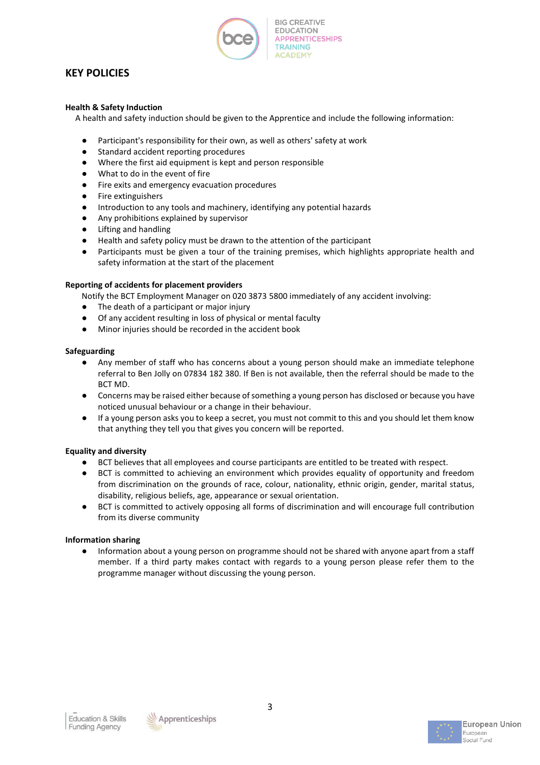

# **KEY POLICIES**

### **Health & Safety Induction**

A health and safety induction should be given to the Apprentice and include the following information:

- Participant's responsibility for their own, as well as others' safety at work
- Standard accident reporting procedures
- Where the first aid equipment is kept and person responsible
- What to do in the event of fire
- Fire exits and emergency evacuation procedures
- Fire extinguishers
- Introduction to any tools and machinery, identifying any potential hazards
- Any prohibitions explained by supervisor
- Lifting and handling
- Health and safety policy must be drawn to the attention of the participant
- Participants must be given a tour of the training premises, which highlights appropriate health and safety information at the start of the placement

#### **Reporting of accidents for placement providers**

Notify the BCT Employment Manager on 020 3873 5800 immediately of any accident involving:

- The death of a participant or major injury
- Of any accident resulting in loss of physical or mental faculty
- Minor injuries should be recorded in the accident book

#### **Safeguarding**

- Any member of staff who has concerns about a young person should make an immediate telephone referral to Ben Jolly on 07834 182 380. If Ben is not available, then the referral should be made to the BCT MD.
- Concerns may be raised either because of something a young person has disclosed or because you have noticed unusual behaviour or a change in their behaviour.
- If a young person asks you to keep a secret, you must not commit to this and you should let them know that anything they tell you that gives you concern will be reported.

### **Equality and diversity**

- BCT believes that all employees and course participants are entitled to be treated with respect.
- BCT is committed to achieving an environment which provides equality of opportunity and freedom from discrimination on the grounds of race, colour, nationality, ethnic origin, gender, marital status, disability, religious beliefs, age, appearance or sexual orientation.
- BCT is committed to actively opposing all forms of discrimination and will encourage full contribution from its diverse community

#### **Information sharing**

● Information about a young person on programme should not be shared with anyone apart from a staff member. If a third party makes contact with regards to a young person please refer them to the programme manager without discussing the young person.



3

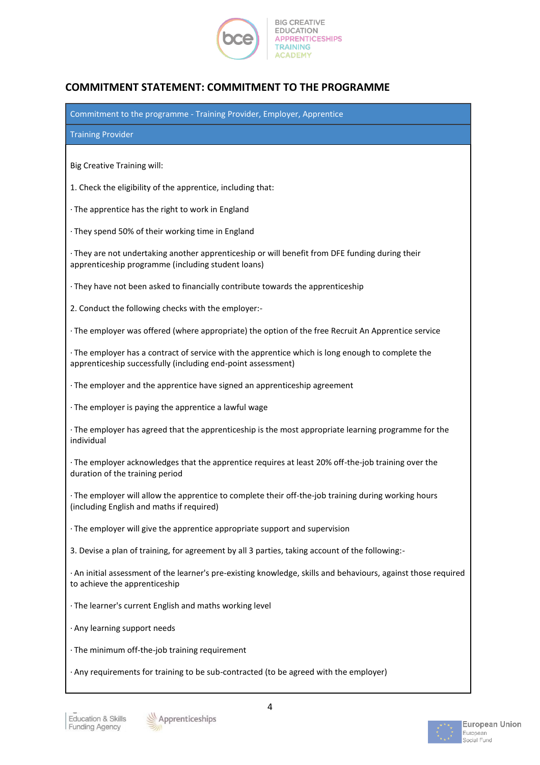

# **COMMITMENT STATEMENT: COMMITMENT TO THE PROGRAMME**

| Commitment to the programme - Training Provider, Employer, Apprentice                                                                                             |  |  |  |
|-------------------------------------------------------------------------------------------------------------------------------------------------------------------|--|--|--|
| <b>Training Provider</b>                                                                                                                                          |  |  |  |
| <b>Big Creative Training will:</b>                                                                                                                                |  |  |  |
| 1. Check the eligibility of the apprentice, including that:                                                                                                       |  |  |  |
| · The apprentice has the right to work in England                                                                                                                 |  |  |  |
| · They spend 50% of their working time in England                                                                                                                 |  |  |  |
| · They are not undertaking another apprenticeship or will benefit from DFE funding during their<br>apprenticeship programme (including student loans)             |  |  |  |
| · They have not been asked to financially contribute towards the apprenticeship                                                                                   |  |  |  |
| 2. Conduct the following checks with the employer:-                                                                                                               |  |  |  |
| · The employer was offered (where appropriate) the option of the free Recruit An Apprentice service                                                               |  |  |  |
| · The employer has a contract of service with the apprentice which is long enough to complete the<br>apprenticeship successfully (including end-point assessment) |  |  |  |
| · The employer and the apprentice have signed an apprenticeship agreement                                                                                         |  |  |  |
| · The employer is paying the apprentice a lawful wage                                                                                                             |  |  |  |
| · The employer has agreed that the apprenticeship is the most appropriate learning programme for the<br>individual                                                |  |  |  |
| · The employer acknowledges that the apprentice requires at least 20% off-the-job training over the<br>duration of the training period                            |  |  |  |
| · The employer will allow the apprentice to complete their off-the-job training during working hours<br>(including English and maths if required)                 |  |  |  |
| · The employer will give the apprentice appropriate support and supervision                                                                                       |  |  |  |
| 3. Devise a plan of training, for agreement by all 3 parties, taking account of the following:-                                                                   |  |  |  |
| · An initial assessment of the learner's pre-existing knowledge, skills and behaviours, against those required<br>to achieve the apprenticeship                   |  |  |  |
| · The learner's current English and maths working level                                                                                                           |  |  |  |
| · Any learning support needs                                                                                                                                      |  |  |  |
| · The minimum off-the-job training requirement                                                                                                                    |  |  |  |
| · Any requirements for training to be sub-contracted (to be agreed with the employer)                                                                             |  |  |  |



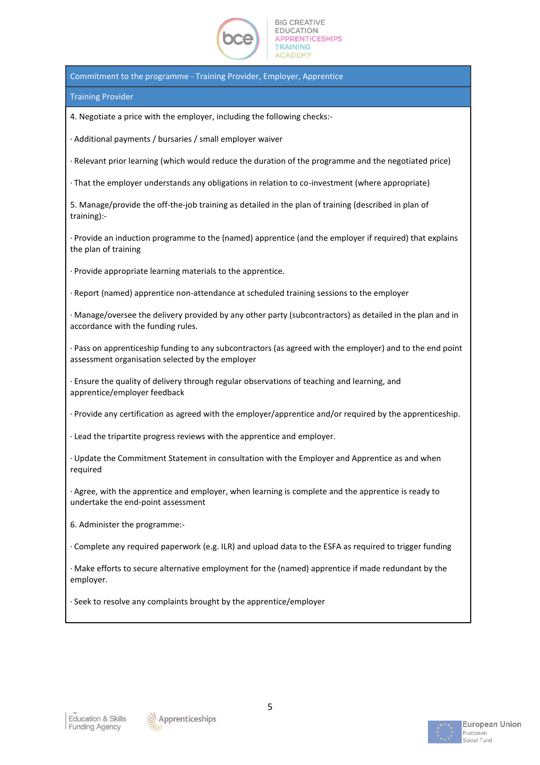

Commitment to the programme - Training Provider, Employer, Apprentice

Training Provider

4. Negotiate a price with the employer, including the following checks:-

· Additional payments / bursaries / small employer waiver

· Relevant prior learning (which would reduce the duration of the programme and the negotiated price)

· That the employer understands any obligations in relation to co-investment (where appropriate)

5. Manage/provide the off-the-job training as detailed in the plan of training (described in plan of training):-

· Provide an induction programme to the (named) apprentice (and the employer if required) that explains the plan of training

· Provide appropriate learning materials to the apprentice.

· Report (named) apprentice non-attendance at scheduled training sessions to the employer

· Manage/oversee the delivery provided by any other party (subcontractors) as detailed in the plan and in accordance with the funding rules.

· Pass on apprenticeship funding to any subcontractors (as agreed with the employer) and to the end point assessment organisation selected by the employer

· Ensure the quality of delivery through regular observations of teaching and learning, and apprentice/employer feedback

· Provide any certification as agreed with the employer/apprentice and/or required by the apprenticeship.

· Lead the tripartite progress reviews with the apprentice and employer.

· Update the Commitment Statement in consultation with the Employer and Apprentice as and when required

· Agree, with the apprentice and employer, when learning is complete and the apprentice is ready to undertake the end-point assessment

6. Administer the programme:-

· Complete any required paperwork (e.g. ILR) and upload data to the ESFA as required to trigger funding

· Make efforts to secure alternative employment for the (named) apprentice if made redundant by the employer.

· Seek to resolve any complaints brought by the apprentice/employer



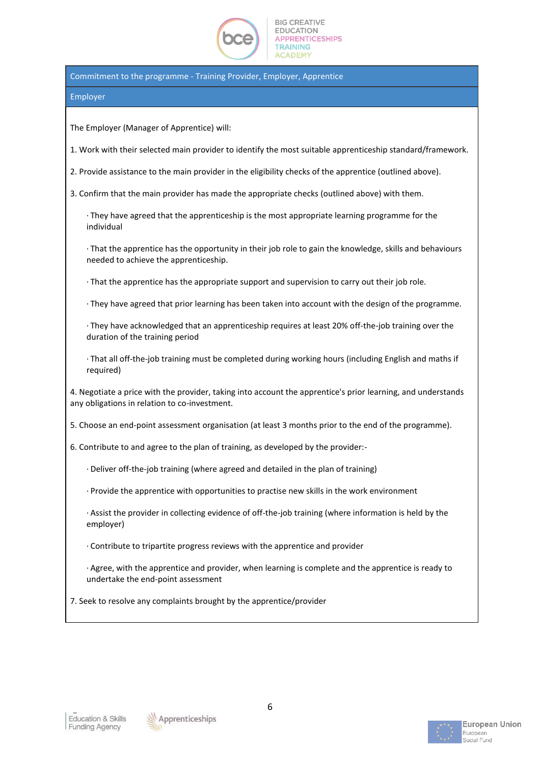

Commitment to the programme - Training Provider, Employer, Apprentice

#### Employer

The Employer (Manager of Apprentice) will:

1. Work with their selected main provider to identify the most suitable apprenticeship standard/framework.

2. Provide assistance to the main provider in the eligibility checks of the apprentice (outlined above).

3. Confirm that the main provider has made the appropriate checks (outlined above) with them.

· They have agreed that the apprenticeship is the most appropriate learning programme for the individual

· That the apprentice has the opportunity in their job role to gain the knowledge, skills and behaviours needed to achieve the apprenticeship.

· That the apprentice has the appropriate support and supervision to carry out their job role.

· They have agreed that prior learning has been taken into account with the design of the programme.

· They have acknowledged that an apprenticeship requires at least 20% off-the-job training over the duration of the training period

· That all off-the-job training must be completed during working hours (including English and maths if required)

4. Negotiate a price with the provider, taking into account the apprentice's prior learning, and understands any obligations in relation to co-investment.

5. Choose an end-point assessment organisation (at least 3 months prior to the end of the programme).

6. Contribute to and agree to the plan of training, as developed by the provider:-

- · Deliver off-the-job training (where agreed and detailed in the plan of training)
- · Provide the apprentice with opportunities to practise new skills in the work environment

· Assist the provider in collecting evidence of off-the-job training (where information is held by the employer)

· Contribute to tripartite progress reviews with the apprentice and provider

· Agree, with the apprentice and provider, when learning is complete and the apprentice is ready to undertake the end-point assessment

7. Seek to resolve any complaints brought by the apprentice/provider



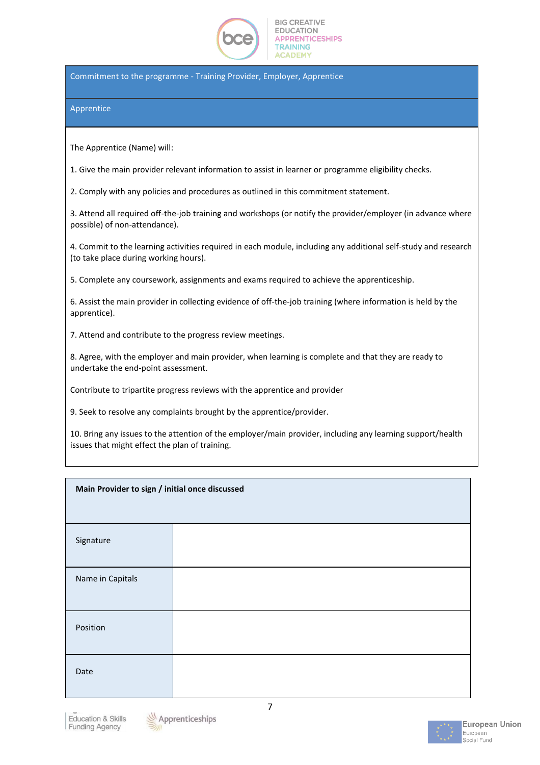

Commitment to the programme - Training Provider, Employer, Apprentice

#### Apprentice

The Apprentice (Name) will:

1. Give the main provider relevant information to assist in learner or programme eligibility checks.

2. Comply with any policies and procedures as outlined in this commitment statement.

3. Attend all required off-the-job training and workshops (or notify the provider/employer (in advance where possible) of non-attendance).

4. Commit to the learning activities required in each module, including any additional self-study and research (to take place during working hours).

5. Complete any coursework, assignments and exams required to achieve the apprenticeship.

6. Assist the main provider in collecting evidence of off-the-job training (where information is held by the apprentice).

7. Attend and contribute to the progress review meetings.

8. Agree, with the employer and main provider, when learning is complete and that they are ready to undertake the end-point assessment.

Contribute to tripartite progress reviews with the apprentice and provider

9. Seek to resolve any complaints brought by the apprentice/provider.

10. Bring any issues to the attention of the employer/main provider, including any learning support/health issues that might effect the plan of training.

| Main Provider to sign / initial once discussed |  |  |  |
|------------------------------------------------|--|--|--|
|                                                |  |  |  |
| Signature                                      |  |  |  |
| Name in Capitals                               |  |  |  |
| Position                                       |  |  |  |
| Date                                           |  |  |  |



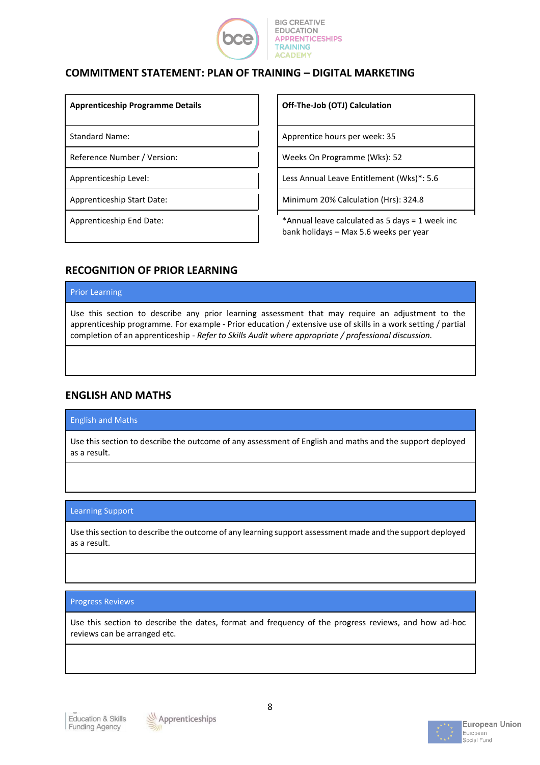

# **COMMITMENT STATEMENT: PLAN OF TRAINING – DIGITAL MARKETING**

**Apprenticeship Programme Details Off-The-Job (OTJ) Calculation**

Standard Name: Apprentice hours per week: 35

Reference Number / Version: National Lawrence On Programme (Wks): 52

Apprenticeship Level: Less Annual Leave Entitlement (Wks)\*: 5.6

Apprenticeship Start Date: Minimum 20% Calculation (Hrs): 324.8

Apprenticeship End Date:  $\begin{vmatrix} \cdot & \cdot & \cdot \\ \cdot & \cdot & \cdot \\ \cdot & \cdot & \cdot \end{vmatrix}$  \*Annual leave calculated as 5 days = 1 week inc bank holidays – Max 5.6 weeks per year

# **RECOGNITION OF PRIOR LEARNING**

#### Prior Learning

Use this section to describe any prior learning assessment that may require an adjustment to the apprenticeship programme. For example - Prior education / extensive use of skills in a work setting / partial completion of an apprenticeship - *Refer to Skills Audit where appropriate / professional discussion.*

# **ENGLISH AND MATHS**

### English and Maths

Use this section to describe the outcome of any assessment of English and maths and the support deployed as a result.

### Learning Support

Use this section to describe the outcome of any learning support assessment made and the support deployed as a result.

### Progress Reviews

Use this section to describe the dates, format and frequency of the progress reviews, and how ad-hoc reviews can be arranged etc.



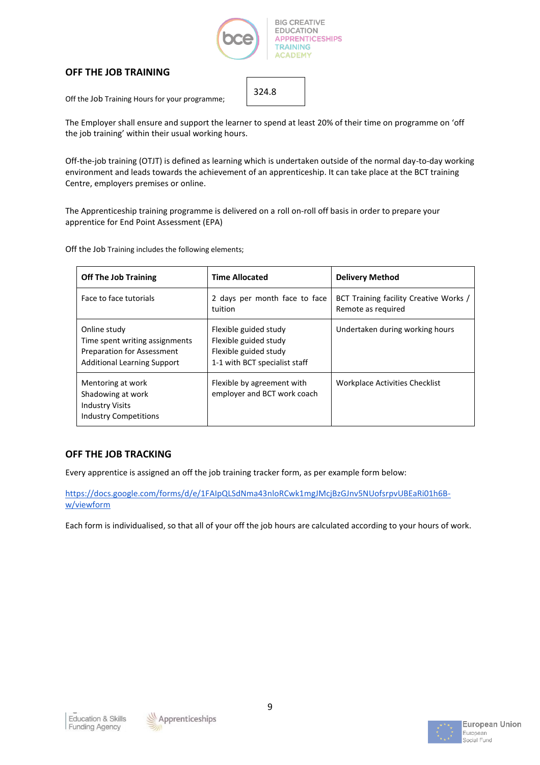

## **OFF THE JOB TRAINING**

Off the Job Training Hours for your programme;

The Employer shall ensure and support the learner to spend at least 20% of their time on programme on 'off the job training' within their usual working hours.

324.8

Off-the-job training (OTJT) is defined as learning which is undertaken outside of the normal day-to-day working environment and leads towards the achievement of an apprenticeship. It can take place at the BCT training Centre, employers premises or online.

The Apprenticeship training programme is delivered on a roll on-roll off basis in order to prepare your apprentice for End Point Assessment (EPA)

Off the Job Training includes the following elements;

| <b>Off The Job Training</b>                                                                                               | <b>Time Allocated</b>                                                                                    | <b>Delivery Method</b>                                       |
|---------------------------------------------------------------------------------------------------------------------------|----------------------------------------------------------------------------------------------------------|--------------------------------------------------------------|
| Face to face tutorials                                                                                                    | 2 days per month face to face<br>tuition                                                                 | BCT Training facility Creative Works /<br>Remote as required |
| Online study<br>Time spent writing assignments<br><b>Preparation for Assessment</b><br><b>Additional Learning Support</b> | Flexible guided study<br>Flexible guided study<br>Flexible guided study<br>1-1 with BCT specialist staff | Undertaken during working hours                              |
| Mentoring at work<br>Shadowing at work<br><b>Industry Visits</b><br><b>Industry Competitions</b>                          | Flexible by agreement with<br>employer and BCT work coach                                                | Workplace Activities Checklist                               |

### **OFF THE JOB TRACKING**

Every apprentice is assigned an off the job training tracker form, as per example form below:

[https://docs.google.com/forms/d/e/1FAIpQLSdNma43nloRCwk1mgJMcjBzGJnv5NUofsrpvUBEaRi01h6B](https://docs.google.com/forms/d/e/1FAIpQLSdNma43nloRCwk1mgJMcjBzGJnv5NUofsrpvUBEaRi01h6B-w/viewform)[w/viewform](https://docs.google.com/forms/d/e/1FAIpQLSdNma43nloRCwk1mgJMcjBzGJnv5NUofsrpvUBEaRi01h6B-w/viewform)

Each form is individualised, so that all of your off the job hours are calculated according to your hours of work.



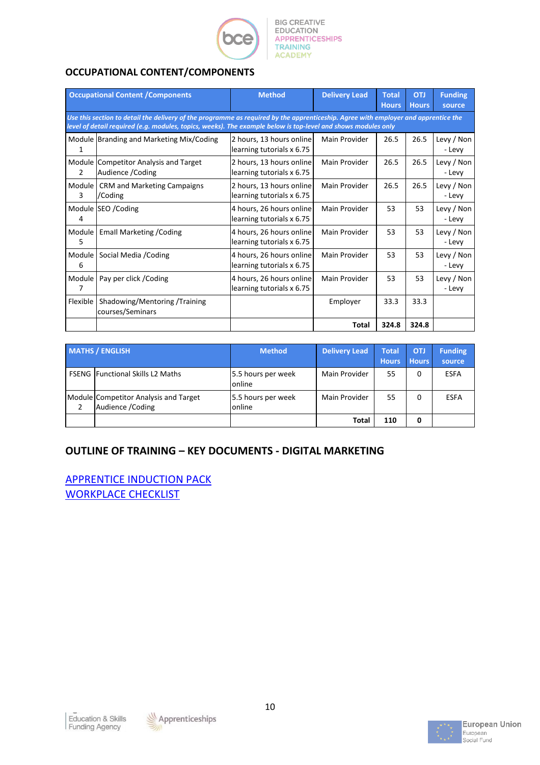

# **OCCUPATIONAL CONTENT/COMPONENTS**

| <b>Occupational Content / Components</b> |                                                                                                                                                                                                                                                     | <b>Method</b>                                         | <b>Delivery Lead</b> | <b>Total</b><br><b>Hours</b> | <b>OTJ</b><br><b>Hours</b> | <b>Funding</b><br>source |
|------------------------------------------|-----------------------------------------------------------------------------------------------------------------------------------------------------------------------------------------------------------------------------------------------------|-------------------------------------------------------|----------------------|------------------------------|----------------------------|--------------------------|
|                                          | Use this section to detail the delivery of the programme as required by the apprenticeship. Agree with employer and apprentice the<br>level of detail required (e.g. modules, topics, weeks). The example below is top-level and shows modules only |                                                       |                      |                              |                            |                          |
|                                          | Module Branding and Marketing Mix/Coding                                                                                                                                                                                                            | 2 hours, 13 hours online<br>learning tutorials x 6.75 | Main Provider        | 26.5                         | 26.5                       | Levy / Non<br>- Levy     |
| $\mathcal{P}$                            | Module Competitor Analysis and Target<br>Audience / Coding                                                                                                                                                                                          | 2 hours, 13 hours online<br>learning tutorials x 6.75 | Main Provider        | 26.5                         | 26.5                       | Levy / Non<br>- Levy     |
| Module  <br>3                            | CRM and Marketing Campaigns<br>/Coding                                                                                                                                                                                                              | 2 hours, 13 hours online<br>learning tutorials x 6.75 | Main Provider        | 26.5                         | 26.5                       | Levy / Non<br>- Levy     |
| 4                                        | Module SEO / Coding                                                                                                                                                                                                                                 | 4 hours, 26 hours online<br>learning tutorials x 6.75 | Main Provider        | 53                           | 53                         | Levy / Non<br>- Levy     |
| Module  <br>5                            | <b>Emall Marketing / Coding</b>                                                                                                                                                                                                                     | 4 hours, 26 hours online<br>learning tutorials x 6.75 | Main Provider        | 53                           | 53                         | Levy / Non<br>- Levy     |
| 6                                        | Module Social Media / Coding                                                                                                                                                                                                                        | 4 hours, 26 hours online<br>learning tutorials x 6.75 | Main Provider        | 53                           | 53                         | Levy / Non<br>- Levy     |
| Module<br>7                              | Pay per click / Coding                                                                                                                                                                                                                              | 4 hours, 26 hours online<br>learning tutorials x 6.75 | Main Provider        | 53                           | 53                         | Levy / Non<br>- Levy     |
| Flexible                                 | Shadowing/Mentoring /Training<br>courses/Seminars                                                                                                                                                                                                   |                                                       | Employer             | 33.3                         | 33.3                       |                          |
|                                          |                                                                                                                                                                                                                                                     |                                                       | Total                | 324.8                        | 324.8                      |                          |

| <b>MATHS / ENGLISH</b>                                     | <b>Method</b>                | Delivery Lead | <b>Total</b><br><b>Hours</b> | <b>OTJ</b><br><b>Hours</b> | <b>Funding</b><br>source |
|------------------------------------------------------------|------------------------------|---------------|------------------------------|----------------------------|--------------------------|
| <b>FSENG Functional Skills L2 Maths</b>                    | 5.5 hours per week<br>online | Main Provider | 55                           | 0                          | <b>ESFA</b>              |
| Module Competitor Analysis and Target<br>Audience / Coding | 5.5 hours per week<br>online | Main Provider | 55                           | 0                          | <b>ESFA</b>              |
|                                                            |                              | Total         | 110                          | 0                          |                          |

# **OUTLINE OF TRAINING – KEY DOCUMENTS - DIGITAL MARKETING**

[APPRENTICE INDUCTION PACK](http://www.bcepolicyfiles.com/files/BCT%20DM%20Induction%20Pack%2020.21.pdf) [WORKPLACE CHECKLIST](http://www.bcepolicyfiles.com/files/BCE%20DM%20Workplace%20Activities%20Checklist.pdf)